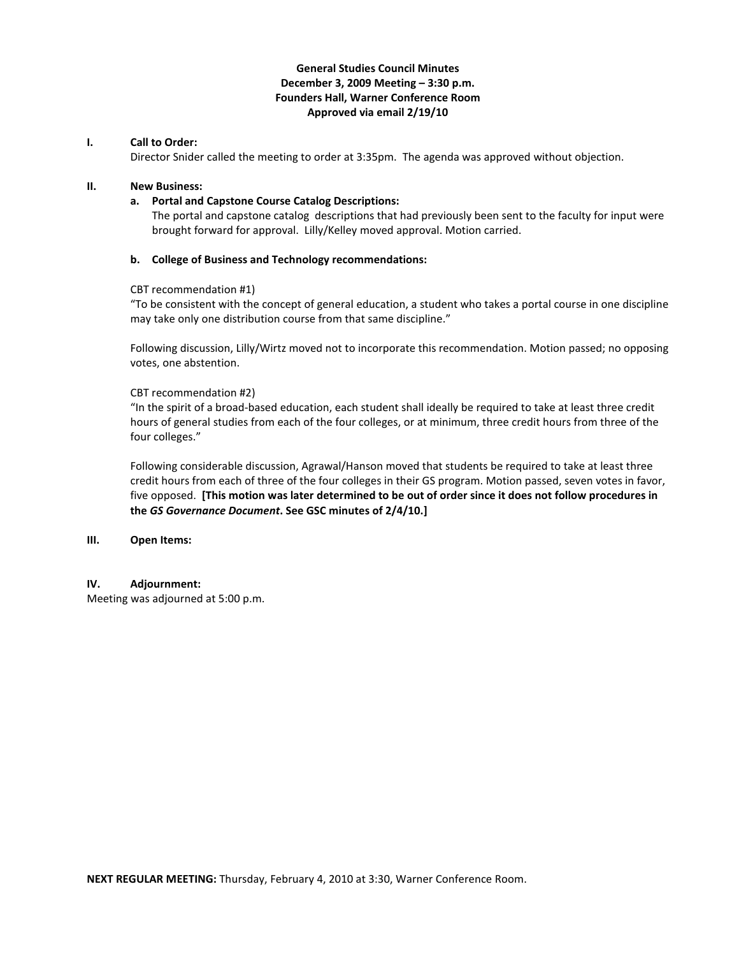# **General Studies Council Minutes December 3, 2009 Meeting – 3:30 p.m. Founders Hall, Warner Conference Room Approved via email 2/19/10**

# **I. Call to Order:**

Director Snider called the meeting to order at 3:35pm. The agenda was approved without objection.

## **II. New Business:**

## **a. Portal and Capstone Course Catalog Descriptions:**

The portal and capstone catalog descriptions that had previously been sent to the faculty for input were brought forward for approval. Lilly/Kelley moved approval. Motion carried.

### **b. College of Business and Technology recommendations:**

### CBT recommendation #1)

"To be consistent with the concept of general education, a student who takes a portal course in one discipline may take only one distribution course from that same discipline."

Following discussion, Lilly/Wirtz moved not to incorporate this recommendation. Motion passed; no opposing votes, one abstention.

#### CBT recommendation #2)

"In the spirit of a broad-based education, each student shall ideally be required to take at least three credit hours of general studies from each of the four colleges, or at minimum, three credit hours from three of the four colleges."

Following considerable discussion, Agrawal/Hanson moved that students be required to take at least three credit hours from each of three of the four colleges in their GS program. Motion passed, seven votes in favor, five opposed. **[This motion was later determined to be out of order since it does not follow procedures in the** *GS Governance Document***. See GSC minutes of 2/4/10.]**

#### **III. Open Items:**

#### **IV. Adjournment:**

Meeting was adjourned at 5:00 p.m.